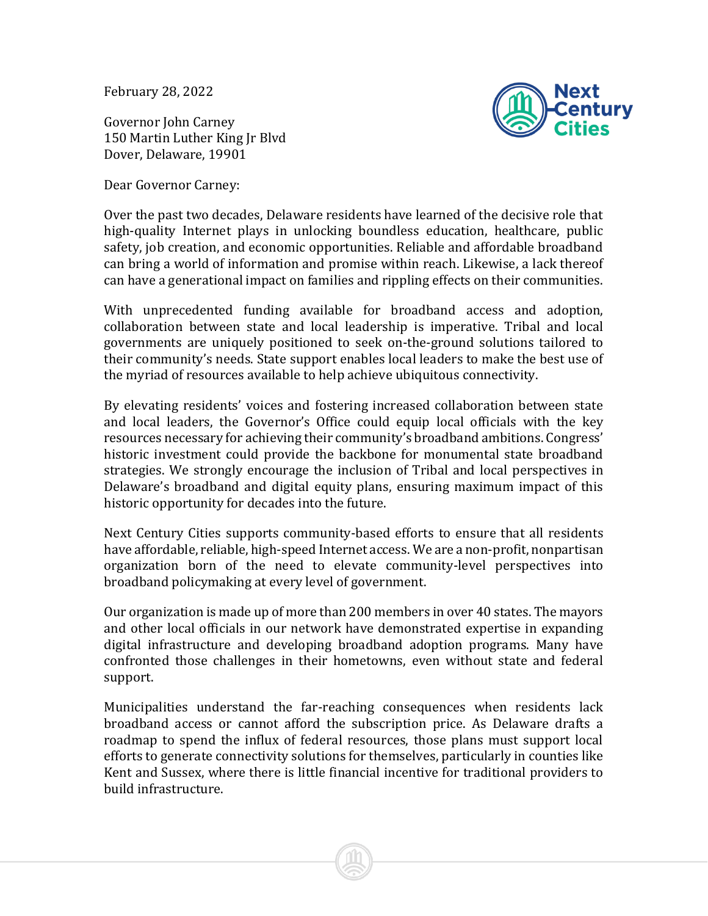February 28, 2022

Governor John Carney 150 Martin Luther King Jr Blvd Dover, Delaware, 19901

Dear Governor Carney:



Over the past two decades, Delaware residents have learned of the decisive role that high-quality Internet plays in unlocking boundless education, healthcare, public safety, job creation, and economic opportunities. Reliable and affordable broadband can bring a world of information and promise within reach. Likewise, a lack thereof can have a generational impact on families and rippling effects on their communities.

With unprecedented funding available for broadband access and adoption, collaboration between state and local leadership is imperative. Tribal and local governments are uniquely positioned to seek on-the-ground solutions tailored to their community's needs. State support enables local leaders to make the best use of the myriad of resources available to help achieve ubiquitous connectivity.

By elevating residents' voices and fostering increased collaboration between state and local leaders, the Governor's Office could equip local officials with the key resources necessary for achieving their community's broadband ambitions. Congress' historic investment could provide the backbone for monumental state broadband strategies. We strongly encourage the inclusion of Tribal and local perspectives in Delaware's broadband and digital equity plans, ensuring maximum impact of this historic opportunity for decades into the future.

Next Century Cities supports community-based efforts to ensure that all residents have affordable, reliable, high-speed Internet access. We are a non-profit, nonpartisan organization born of the need to elevate community-level perspectives into broadband policymaking at every level of government.

Our organization is made up of more than 200 members in over 40 states. The mayors and other local officials in our network have demonstrated expertise in expanding digital infrastructure and developing broadband adoption programs. Many have confronted those challenges in their hometowns, even without state and federal support.

Municipalities understand the far-reaching consequences when residents lack broadband access or cannot afford the subscription price. As Delaware drafts a roadmap to spend the influx of federal resources, those plans must support local efforts to generate connectivity solutions for themselves, particularly in counties like Kent and Sussex, where there is little financial incentive for traditional providers to build infrastructure.